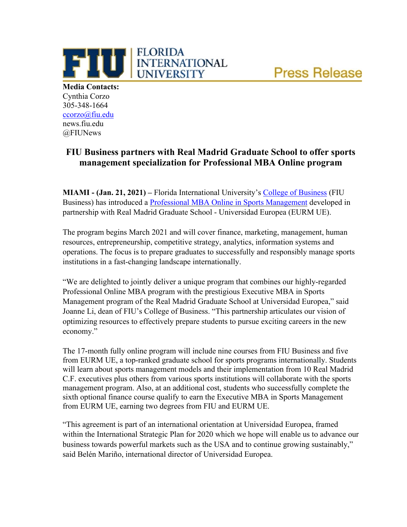

**Media Contacts:** Cynthia Corzo 305-348-1664 [ccorzo@fiu.edu](mailto:ccorzo@fiu.edu) news.fiu.edu @FIUNews

## **FIU Business partners with Real Madrid Graduate School to offer sports management specialization for Professional MBA Online program**

**FLORIDA** 

**UNIVERSITY** 

**THE ELORIDA**<br>
UNIVERSITY

**MIAMI - (Jan. 21, 2021) –** Florida International University's College of Business (FIU Business) has introduced a [Professional MBA Online in Sports Management](https://business.fiu.edu/fiubusiness/cmba/index_sports_management_form_top.cfm) developed in partnership with Real Madrid Graduate School - Universidad Europea (EURM UE).

The program begins March 2021 and will cover finance, marketing, management, human resources, entrepreneurship, competitive strategy, analytics, information systems and operations. The focus is to prepare graduates to successfully and responsibly manage sports institutions in a fast-changing landscape internationally.

"We are delighted to jointly deliver a unique program that combines our highly-regarded Professional Online MBA program with the prestigious Executive MBA in Sports Management program of the Real Madrid Graduate School at Universidad Europea," said Joanne Li, dean of FIU's College of Business. "This partnership articulates our vision of optimizing resources to effectively prepare students to pursue exciting careers in the new economy."

The 17-month fully online program will include nine courses from FIU Business and five from EURM UE, a top-ranked graduate school for sports programs internationally. Students will learn about sports management models and their implementation from 10 Real Madrid C.F. executives plus others from various sports institutions will collaborate with the sports management program. Also, at an additional cost, students who successfully complete the sixth optional finance course qualify to earn the Executive MBA in Sports Management from EURM UE, earning two degrees from FIU and EURM UE.

"This agreement is part of an international orientation at Universidad Europea, framed within the International Strategic Plan for 2020 which we hope will enable us to advance our business towards powerful markets such as the USA and to continue growing sustainably," said Belén Mariño, international director of Universidad Europea.